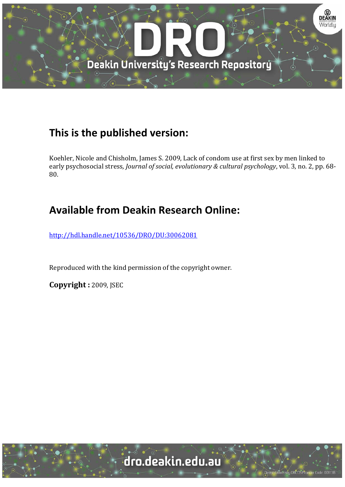

# **This is the published version:**

Koehler, Nicole and Chisholm, James S. 2009, Lack of condom use at first sex by men linked to early psychosocial stress, *Journal of social, evolutionary & cultural psychology*, vol. 3, no. 2, pp. 68-80. 

# **Available from Deakin Research Online:**

http://hdl.handle.net/10536/DRO/DU:30062081

Reproduced with the kind permission of the copyright owner.

**Copyright :** 2009, JSEC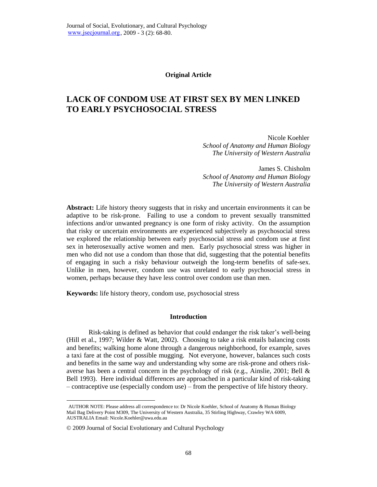#### **Original Article**

# **LACK OF CONDOM USE AT FIRST SEX BY MEN LINKED TO EARLY PSYCHOSOCIAL STRESS**

Nicole Koehler. *School of Anatomy and Human Biology The University of Western Australia*

James S. Chisholm *School of Anatomy and Human Biology The University of Western Australia*

**Abstract:** Life history theory suggests that in risky and uncertain environments it can be adaptive to be risk-prone. Failing to use a condom to prevent sexually transmitted infections and/or unwanted pregnancy is one form of risky activity. On the assumption that risky or uncertain environments are experienced subjectively as psychosocial stress we explored the relationship between early psychosocial stress and condom use at first sex in heterosexually active women and men. Early psychosocial stress was higher in men who did not use a condom than those that did, suggesting that the potential benefits of engaging in such a risky behaviour outweigh the long-term benefits of safe-sex. Unlike in men, however, condom use was unrelated to early psychosocial stress in women, perhaps because they have less control over condom use than men.

**Keywords:** life history theory, condom use, psychosocial stress

#### **Introduction**

Risk-taking is defined as behavior that could endanger the risk taker"s well-being (Hill et al., 1997; Wilder & Watt, 2002). Choosing to take a risk entails balancing costs and benefits; walking home alone through a dangerous neighborhood, for example, saves a taxi fare at the cost of possible mugging. Not everyone, however, balances such costs and benefits in the same way and understanding why some are risk-prone and others riskaverse has been a central concern in the psychology of risk (e.g., Ainslie, 2001; Bell & Bell 1993). Here individual differences are approached in a particular kind of risk-taking – contraceptive use (especially condom use) – from the perspective of life history theory.

 $\overline{a}$ 

<sup>.</sup> AUTHOR NOTE: Please address all correspondence to: Dr Nicole Koehler, School of Anatomy & Human Biology Mail Bag Delivery Point M309, The University of Western Australia, 35 Stirling Highway, Crawley WA 6009, AUSTRALIA Email: Nicole.Koehler@uwa.edu.au

<sup>©</sup> 2009 Journal of Social Evolutionary and Cultural Psychology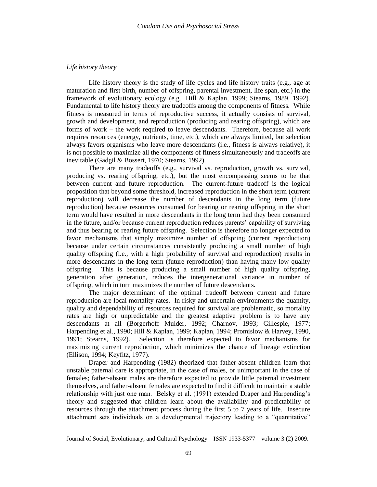# Life history theory

Life history theory is the study of life cycles and life history traits (e.g., age at maturation and first birth, number of offspring, parental investment, life span, etc.) in the framework of evolutionary ecology (e.g., Hill & Kaplan, 1999; Stearns, 1989, 1992). Fundamental to life history theory are tradeoffs among the components of fitness. While fitness is measured in terms of reproductive success, it actually consists of survival, growth and development, and reproduction (producing and rearing offspring), which are forms of work – the work required to leave descendants. Therefore, because all work requires resources (energy, nutrients, time, etc.), which are always limited, but selection always favors organisms who leave more descendants (i.e., fitness is always relative), it is not possible to maximize all the components of fitness simultaneously and tradeoffs are inevitable (Gadgil & Bossert, 1970; Stearns, 1992).

There are many tradeoffs (e.g., survival vs. reproduction, growth vs. survival, producing vs. rearing offspring, etc.), but the most encompassing seems to be that between current and future reproduction. The current-future tradeoff is the logical proposition that beyond some threshold, increased reproduction in the short term (current reproduction) will decrease the number of descendants in the long term (future reproduction) because resources consumed for bearing or rearing offspring in the short term would have resulted in more descendants in the long term had they been consumed in the future, and/or because current reproduction reduces parents' capability of surviving and thus bearing or rearing future offspring. Selection is therefore no longer expected to favor mechanisms that simply maximize number of offspring (current reproduction) because under certain circumstances consistently producing a small number of high quality offspring (i.e., with a high probability of survival and reproduction) results in more descendants in the long term (future reproduction) than having many low quality This is because producing a small number of high quality offspring, offspring. generation after generation, reduces the intergenerational variance in number of offspring, which in turn maximizes the number of future descendants.

The major determinant of the optimal tradeoff between current and future reproduction are local mortality rates. In risky and uncertain environments the quantity, quality and dependability of resources required for survival are problematic, so mortality rates are high or unpredictable and the greatest adaptive problem is to have any descendants at all (Borgerhoff Mulder, 1992; Charnov, 1993; Gillespie, 1977; Harpending et al., 1990; Hill & Kaplan, 1999; Kaplan, 1994; Promislow & Harvey, 1990, 1991; Stearns, 1992). Selection is therefore expected to favor mechanisms for maximizing current reproduction, which minimizes the chance of lineage extinction (Ellison, 1994; Keyfitz, 1977).

Draper and Harpending (1982) theorized that father-absent children learn that unstable paternal care is appropriate, in the case of males, or unimportant in the case of females; father-absent males are therefore expected to provide little paternal investment themselves, and father-absent females are expected to find it difficult to maintain a stable relationship with just one man. Belsky et al. (1991) extended Draper and Harpending's theory and suggested that children learn about the availability and predictability of resources through the attachment process during the first 5 to 7 years of life. Insecure attachment sets individuals on a developmental trajectory leading to a "quantitative"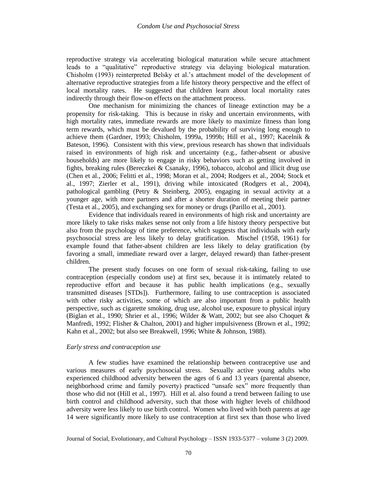reproductive strategy via accelerating biological maturation while secure attachment leads to a "qualitative" reproductive strategy via delaying biological maturation. Chisholm (1993) reinterpreted Belsky et al.'s attachment model of the development of alternative reproductive strategies from a life history theory perspective and the effect of local mortality rates. He suggested that children learn about local mortality rates indirectly through their flow-on effects on the attachment process.

One mechanism for minimizing the chances of lineage extinction may be a propensity for risk-taking. This is because in risky and uncertain environments, with high mortality rates, immediate rewards are more likely to maximize fitness than long term rewards, which must be devalued by the probability of surviving long enough to achieve them (Gardner, 1993; Chisholm, 1999a, 1999b; Hill et al., 1997; Kacelnik & Bateson, 1996). Consistent with this view, previous research has shown that individuals raised in environments of high risk and uncertainty (e.g., father-absent or abusive households) are more likely to engage in risky behaviors such as getting involved in fights, breaking rules (Bereczkei & Csanaky, 1996), tobacco, alcohol and illicit drug use (Chen et al., 2006; Felitti et al., 1998; Moran et al., 2004; Rodgers et al., 2004; Stock et al., 1997; Zierler et al., 1991), driving while intoxicated (Rodgers et al., 2004), pathological gambling (Petry & Steinberg, 2005), engaging in sexual activity at a younger age, with more partners and after a shorter duration of meeting their partner (Testa et al., 2005), and exchanging sex for money or drugs (Parillo et al., 2001).

Evidence that individuals reared in environments of high risk and uncertainty are more likely to take risks makes sense not only from a life history theory perspective but also from the psychology of time preference, which suggests that individuals with early psychosocial stress are less likely to delay gratification. Mischel (1958, 1961) for example found that father-absent children are less likely to delay gratification (by favoring a small, immediate reward over a larger, delayed reward) than father-present children.

The present study focuses on one form of sexual risk-taking, failing to use contraception (especially condom use) at first sex, because it is intimately related to reproductive effort and because it has public health implications (e.g., sexually transmitted diseases [STDs]). Furthermore, failing to use contraception is associated with other risky activities, some of which are also important from a public health perspective, such as cigarette smoking, drug use, alcohol use, exposure to physical injury (Biglan et al., 1990; Shrier et al., 1996; Wilder & Watt, 2002; but see also Choquet & Manfredi, 1992; Flisher & Chalton, 2001) and higher impulsiveness (Brown et al., 1992; Kahn et al., 2002; but also see Breakwell, 1996; White & Johnson, 1988).

### Early stress and contraception use

A few studies have examined the relationship between contraceptive use and various measures of early psychosocial stress. Sexually active young adults who experienced childhood adversity between the ages of 6 and 13 years (parental absence, neighborhood crime and family poverty) practiced "unsafe sex" more frequently than those who did not (Hill et al., 1997). Hill et al. also found a trend between failing to use birth control and childhood adversity, such that those with higher levels of childhood adversity were less likely to use birth control. Women who lived with both parents at age 14 were significantly more likely to use contraception at first sex than those who lived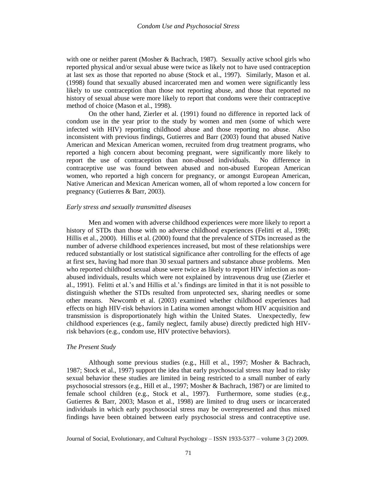with one or neither parent (Mosher & Bachrach, 1987). Sexually active school girls who reported physical and/or sexual abuse were twice as likely not to have used contraception at last sex as those that reported no abuse (Stock et al., 1997). Similarly, Mason et al. (1998) found that sexually abused incarcerated men and women were significantly less likely to use contraception than those not reporting abuse, and those that reported no history of sexual abuse were more likely to report that condoms were their contraceptive method of choice (Mason et al., 1998).

On the other hand, Zierler et al. (1991) found no difference in reported lack of condom use in the year prior to the study by women and men (some of which were infected with HIV) reporting childhood abuse and those reporting no abuse. Also inconsistent with previous findings, Gutierres and Barr (2003) found that abused Native American and Mexican American women, recruited from drug treatment programs, who reported a high concern about becoming pregnant, were significantly more likely to report the use of contraception than non-abused individuals. No difference in contraceptive use was found between abused and non-abused European American women, who reported a high concern for pregnancy, or amongst European American, Native American and Mexican American women, all of whom reported a low concern for pregnancy (Gutierres & Barr, 2003).

#### Early stress and sexually transmitted diseases

Men and women with adverse childhood experiences were more likely to report a history of STDs than those with no adverse childhood experiences (Felitti et al., 1998; Hillis et al., 2000). Hillis et al. (2000) found that the prevalence of STDs increased as the number of adverse childhood experiences increased, but most of these relationships were reduced substantially or lost statistical significance after controlling for the effects of age at first sex, having had more than 30 sexual partners and substance abuse problems. Men who reported childhood sexual abuse were twice as likely to report HIV infection as nonabused individuals, results which were not explained by intravenous drug use (Zierler et al., 1991). Felitti et al.'s and Hillis et al.'s findings are limited in that it is not possible to distinguish whether the STDs resulted from unprotected sex, sharing needles or some other means. Newcomb et al. (2003) examined whether childhood experiences had effects on high HIV-risk behaviors in Latina women amongst whom HIV acquisition and transmission is disproportionately high within the United States. Unexpectedly, few childhood experiences (e.g., family neglect, family abuse) directly predicted high HIVrisk behaviors (e.g., condom use, HIV protective behaviors).

#### The Present Study

Although some previous studies (e.g., Hill et al., 1997; Mosher & Bachrach, 1987; Stock et al., 1997) support the idea that early psychosocial stress may lead to risky sexual behavior these studies are limited in being restricted to a small number of early psychosocial stressors (e.g., Hill et al., 1997; Mosher & Bachrach, 1987) or are limited to female school children (e.g., Stock et al., 1997). Furthermore, some studies (e.g., Gutierres & Barr, 2003; Mason et al., 1998) are limited to drug users or incarcerated individuals in which early psychosocial stress may be overrepresented and thus mixed findings have been obtained between early psychosocial stress and contraceptive use.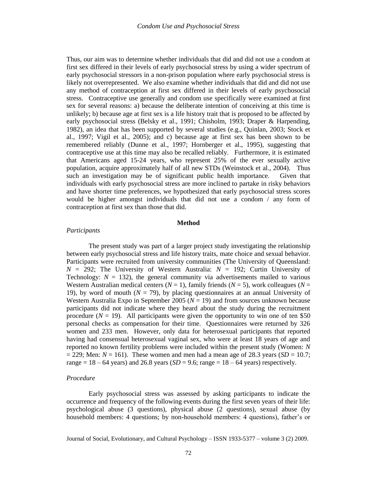Thus, our aim was to determine whether individuals that did and did not use a condom at first sex differed in their levels of early psychosocial stress by using a wider spectrum of early psychosocial stressors in a non-prison population where early psychosocial stress is likely not overrepresented. We also examine whether individuals that did and did not use any method of contraception at first sex differed in their levels of early psychosocial stress. Contraceptive use generally and condom use specifically were examined at first sex for several reasons: a) because the deliberate intention of conceiving at this time is unlikely; b) because age at first sex is a life history trait that is proposed to be affected by early psychosocial stress (Belsky et al., 1991; Chisholm, 1993; Draper & Harpending, 1982), an idea that has been supported by several studies (e.g., Quinlan, 2003; Stock et al., 1997; Vigil et al., 2005); and c) because age at first sex has been shown to be remembered reliably (Dunne et al., 1997; Hornberger et al., 1995), suggesting that contraceptive use at this time may also be recalled reliably. Furthermore, it is estimated that Americans aged 15-24 years, who represent 25% of the ever sexually active population, acquire approximately half of all new STDs (Weinstock et al., 2004). Thus such an investigation may be of significant public health importance. Given that individuals with early psychosocial stress are more inclined to partake in risky behaviors and have shorter time preferences, we hypothesized that early psychosocial stress scores would be higher amongst individuals that did not use a condom  $/$  any form of contraception at first sex than those that did.

# **Method**

#### Participants

The present study was part of a larger project study investigating the relationship between early psychosocial stress and life history traits, mate choice and sexual behavior. Participants were recruited from university communities (The University of Queensland:  $N = 292$ ; The University of Western Australia:  $N = 192$ ; Curtin University of Technology:  $N = 132$ ), the general community via advertisements mailed to various Western Australian medical centers ( $N = 1$ ), family friends ( $N = 5$ ), work colleagues ( $N = 1$ ) 19), by word of mouth ( $N = 79$ ), by placing questionnaires at an annual University of Western Australia Expo in September 2005 ( $N = 19$ ) and from sources unknown because participants did not indicate where they heard about the study during the recruitment procedure  $(N = 19)$ . All participants were given the opportunity to win one of ten \$50 personal checks as compensation for their time. Questionnaires were returned by 326 women and 233 men. However, only data for heterosexual participants that reported having had consensual heterosexual vaginal sex, who were at least 18 years of age and reported no known fertility problems were included within the present study (Women:  $N$  $=$  229; Men:  $N = 161$ ). These women and men had a mean age of 28.3 years (SD = 10.7; range =  $18 - 64$  years) and 26.8 years ( $SD = 9.6$ ; range =  $18 - 64$  years) respectively.

#### Procedure

Early psychosocial stress was assessed by asking participants to indicate the occurrence and frequency of the following events during the first seven years of their life: psychological abuse (3 questions), physical abuse (2 questions), sexual abuse (by household members: 4 questions; by non-household members: 4 questions), father's or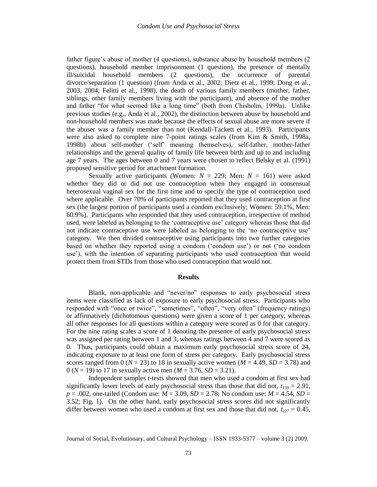father figure's abuse of mother (4 questions), substance abuse by household members (2) questions), household member imprisonment (1 question), the presence of mentally ill/suicidal household members (2 questions), the occurrence of parental divorce/separation (1 question) (from Anda et al., 2002; Dietz et al., 1999; Dong et al., 2003, 2004; Felitti et al., 1998), the death of various family members (mother, father, siblings, other family members living with the participant), and absence of the mother and father "for what seemed like a long time" (both from Chisholm, 1999a). Unlike previous studies (e.g., Anda et al., 2002), the distinction between abuse by household and non-household members was made because the effects of sexual abuse are more severe if the abuser was a family member than not (Kendall-Tackett et al., 1993). Participants were also asked to complete nine 7-point ratings scales (from Kim & Smith, 1998a, 1998b) about self-mother ('self' meaning themselves), self-father, mother-father relationships and the general quality of family life between birth and up to and including age 7 years. The ages between 0 and 7 years were chosen to reflect Belsky et al. (1991) proposed sensitive period for attachment formation.

Sexually active participants (Women:  $N = 229$ ; Men:  $N = 161$ ) were asked whether they did or did not use contraception when they engaged in consensual heterosexual vaginal sex for the first time and to specify the type of contraception used where applicable. Over 70% of participants reported that they used contraception at first sex (the largest portion of participants used a condom exclusively; Women: 59.1%, Men: 60.9%). Participants who responded that they used contraception, irrespective of method used, were labeled as belonging to the 'contraceptive use' category whereas those that did not indicate contraceptive use were labeled as belonging to the 'no contraceptive use' category. We then divided contraceptive using participants into two further categories based on whether they reported using a condom ('condom use') or not ('no condom use'), with the intention of separating participants who used contraception that would protect them from STDs from those who used contraception that would not.

#### **Results**

Blank, non-applicable and "never/no" responses to early psychosocial stress items were classified as lack of exposure to early psychosocial stress. Participants who responded with "once or twice", "sometimes", "often", "very often" (frequency ratings) or affirmatively (dichotomous questions) were given a score of 1 per category, whereas all other responses for all questions within a category were scored as 0 for that category. For the nine rating scales a score of 1 denoting the presence of early psychosocial stress was assigned per rating between 1 and 3, whereas ratings between 4 and 7 were scored as 0. Thus, participants could obtain a maximum early psychosocial stress score of 24, indicating exposure to at least one form of stress per category. Early psychosocial stress scores ranged from 0 ( $N = 23$ ) to 18 in sexually active women ( $M = 4.49$ ,  $SD = 3.78$ ) and  $0 (N = 19)$  to 17 in sexually active men  $(M = 3.76, SD = 3.21)$ .

Independent samples *t*-tests showed that men who used a condom at first sex had significantly lower levels of early psychosocial stress than those that did not,  $t_{159} = 2.91$ ,  $p = .002$ , one-tailed (Condom use:  $M = 3.09$ ,  $SD = 2.78$ ; No condom use:  $M = 4.54$ ,  $SD =$ 3.52; Fig. 1). On the other hand, early psychosocial stress scores did not significantly differ between women who used a condom at first sex and those that did not,  $t_{227} = 0.45$ ,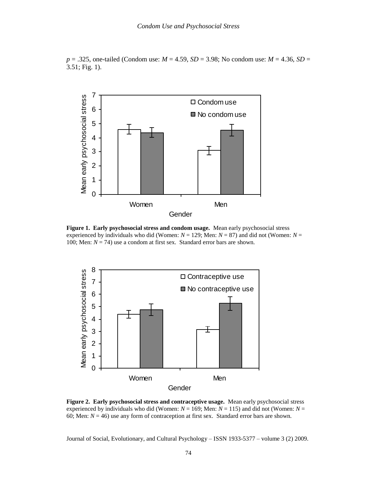$p = .325$ , one-tailed (Condom use:  $M = 4.59$ ,  $SD = 3.98$ ; No condom use:  $M = 4.36$ ,  $SD =$  $3.51$ ; Fig. 1).



Figure 1. Early psychosocial stress and condom usage. Mean early psychosocial stress experienced by individuals who did (Women:  $N = 129$ ; Men:  $N = 87$ ) and did not (Women:  $N =$ 100; Men:  $N = 74$ ) use a condom at first sex. Standard error bars are shown.



Figure 2. Early psychosocial stress and contraceptive usage. Mean early psychosocial stress experienced by individuals who did (Women:  $N = 169$ ; Men:  $N = 115$ ) and did not (Women:  $N =$ 60; Men:  $N = 46$ ) use any form of contraception at first sex. Standard error bars are shown.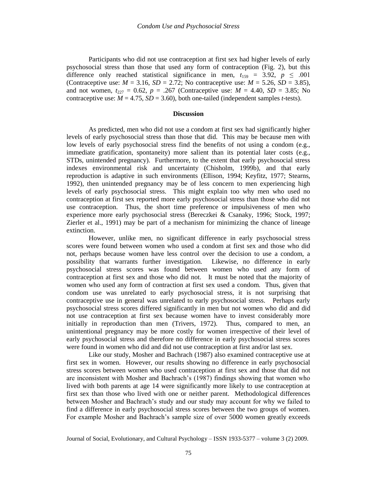Participants who did not use contraception at first sex had higher levels of early psychosocial stress than those that used any form of contraception (Fig. 2), but this difference only reached statistical significance in men,  $t_{159} = 3.92$ ,  $p \le 0.001$ (Contraceptive use:  $M = 3.16$ ,  $SD = 2.72$ ; No contraceptive use:  $M = 5.26$ ,  $SD = 3.85$ ), and not women,  $t_{227} = 0.62$ ,  $p = .267$  (Contraceptive use:  $M = 4.40$ ,  $SD = 3.85$ ; No contraceptive use:  $M = 4.75$ ,  $SD = 3.60$ ), both one-tailed (independent samples *t*-tests).

#### **Discussion**

As predicted, men who did not use a condom at first sex had significantly higher levels of early psychosocial stress than those that did. This may be because men with low levels of early psychosocial stress find the benefits of not using a condom (e.g., immediate gratification, spontaneity) more salient than its potential later costs (e.g., STDs, unintended pregnancy). Furthermore, to the extent that early psychosocial stress indexes environmental risk and uncertainty (Chisholm, 1999b), and that early reproduction is adaptive in such environments (Ellison, 1994; Keyfitz, 1977; Stearns, 1992), then unintended pregnancy may be of less concern to men experiencing high levels of early psychosocial stress. This might explain too why men who used no contraception at first sex reported more early psychosocial stress than those who did not use contraception. Thus, the short time preference or impulsiveness of men who experience more early psychosocial stress (Bereczkei & Csanaky, 1996; Stock, 1997; Zierler et al., 1991) may be part of a mechanism for minimizing the chance of lineage extinction.

However, unlike men, no significant difference in early psychosocial stress scores were found between women who used a condom at first sex and those who did not, perhaps because women have less control over the decision to use a condom, a possibility that warrants further investigation. Likewise, no difference in early psychosocial stress scores was found between women who used any form of contraception at first sex and those who did not. It must be noted that the majority of women who used any form of contraction at first sex used a condom. Thus, given that condom use was unrelated to early psychosocial stress, it is not surprising that contraceptive use in general was unrelated to early psychosocial stress. Perhaps early psychosocial stress scores differed significantly in men but not women who did and did not use contraception at first sex because women have to invest considerably more initially in reproduction than men (Trivers, 1972). Thus, compared to men, an unintentional pregnancy may be more costly for women irrespective of their level of early psychosocial stress and therefore no difference in early psychosocial stress scores were found in women who did and did not use contraception at first and/or last sex.

Like our study, Mosher and Bachrach (1987) also examined contraceptive use at first sex in women. However, our results showing no difference in early psychosocial stress scores between women who used contraception at first sex and those that did not are inconsistent with Mosher and Bachrach's (1987) findings showing that women who lived with both parents at age 14 were significantly more likely to use contraception at first sex than those who lived with one or neither parent. Methodological differences between Mosher and Bachrach's study and our study may account for why we failed to find a difference in early psychosocial stress scores between the two groups of women. For example Mosher and Bachrach's sample size of over 5000 women greatly exceeds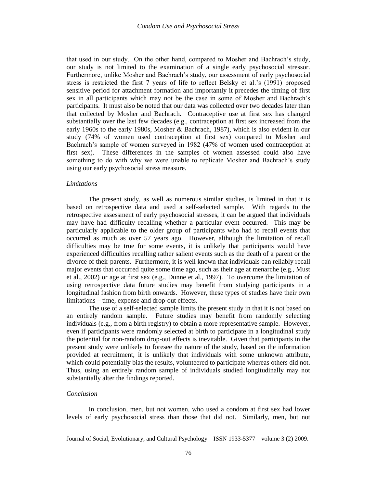that used in our study. On the other hand, compared to Mosher and Bachrach's study, our study is not limited to the examination of a single early psychosocial stressor. Furthermore, unlike Mosher and Bachrach's study, our assessment of early psychosocial stress is restricted the first 7 years of life to reflect Belsky et al.'s (1991) proposed sensitive period for attachment formation and importantly it precedes the timing of first sex in all participants which may not be the case in some of Mosher and Bachrach's participants. It must also be noted that our data was collected over two decades later than that collected by Mosher and Bachrach. Contraceptive use at first sex has changed substantially over the last few decades (e.g., contraception at first sex increased from the early 1960s to the early 1980s, Mosher & Bachrach, 1987), which is also evident in our study (74% of women used contraception at first sex) compared to Mosher and Bachrach's sample of women surveyed in 1982 (47% of women used contraception at first sex). These differences in the samples of women assessed could also have something to do with why we were unable to replicate Mosher and Bachrach's study using our early psychosocial stress measure.

#### **Limitations**

The present study, as well as numerous similar studies, is limited in that it is based on retrospective data and used a self-selected sample. With regards to the retrospective assessment of early psychosocial stresses, it can be argued that individuals may have had difficulty recalling whether a particular event occurred. This may be particularly applicable to the older group of participants who had to recall events that occurred as much as over 57 years ago. However, although the limitation of recall difficulties may be true for some events, it is unlikely that participants would have experienced difficulties recalling rather salient events such as the death of a parent or the divorce of their parents. Furthermore, it is well known that individuals can reliably recall major events that occurred quite some time ago, such as their age at menarche (e.g., Must et al.,  $2002$ ) or age at first sex (e.g., Dunne et al., 1997). To overcome the limitation of using retrospective data future studies may benefit from studying participants in a longitudinal fashion from birth onwards. However, these types of studies have their own limitations – time, expense and drop-out effects.

The use of a self-selected sample limits the present study in that it is not based on an entirely random sample. Future studies may benefit from randomly selecting individuals (e.g., from a birth registry) to obtain a more representative sample. However, even if participants were randomly selected at birth to participate in a longitudinal study the potential for non-random drop-out effects is inevitable. Given that participants in the present study were unlikely to foresee the nature of the study, based on the information provided at recruitment, it is unlikely that individuals with some unknown attribute, which could potentially bias the results, volunteered to participate whereas others did not. Thus, using an entirely random sample of individuals studied longitudinally may not substantially alter the findings reported.

#### Conclusion

In conclusion, men, but not women, who used a condom at first sex had lower levels of early psychosocial stress than those that did not. Similarly, men, but not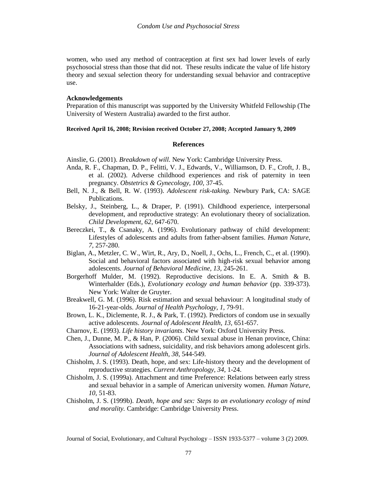women, who used any method of contraception at first sex had lower levels of early psychosocial stress than those that did not. These results indicate the value of life history theory and sexual selection theory for understanding sexual behavior and contraceptive use.

### **Acknowledgements**

Preparation of this manuscript was supported by the University Whitfeld Fellowship (The University of Western Australia) awarded to the first author.

#### Received April 16, 2008; Revision received October 27, 2008; Accepted January 9, 2009

#### **References**

Ainslie, G. (2001). Breakdown of will. New York: Cambridge University Press.

- Anda, R. F., Chapman, D. P., Felitti, V. J., Edwards, V., Williamson, D. F., Croft, J. B., et al. (2002). Adverse childhood experiences and risk of paternity in teen pregnancy. Obstetrics & Gynecology, 100, 37-45.
- Bell, N. J., & Bell, R. W. (1993). Adolescent risk-taking. Newbury Park, CA: SAGE Publications.
- Belsky, J., Steinberg, L., & Draper, P. (1991). Childhood experience, interpersonal development, and reproductive strategy: An evolutionary theory of socialization. Child Development, 62, 647-670.
- Bereczkei, T., & Csanaky, A. (1996). Evolutionary pathway of child development: Lifestyles of adolescents and adults from father-absent families. Human Nature, 7, 257-280.
- Biglan, A., Metzler, C. W., Wirt, R., Ary, D., Noell, J., Ochs, L., French, C., et al. (1990). Social and behavioral factors associated with high-risk sexual behavior among adolescents. Journal of Behavioral Medicine, 13, 245-261.
- Borgerhoff Mulder, M. (1992). Reproductive decisions. In E. A. Smith & B. Winterhalder (Eds.), Evolutionary ecology and human behavior (pp. 339-373). New York: Walter de Gruyter.
- Breakwell, G. M. (1996). Risk estimation and sexual behaviour: A longitudinal study of 16-21-year-olds. Journal of Health Psychology, 1, 79-91.
- Brown, L. K., Diclemente, R. J., & Park, T. (1992). Predictors of condom use in sexually active adolescents. Journal of Adolescent Health, 13, 651-657.
- Charnov, E. (1993). Life history invariants. New York: Oxford University Press.
- Chen, J., Dunne, M. P., & Han, P. (2006). Child sexual abuse in Henan province, China: Associations with sadness, suicidality, and risk behaviors among adolescent girls. Journal of Adolescent Health, 38, 544-549.
- Chisholm, J. S. (1993). Death, hope, and sex: Life-history theory and the development of reproductive strategies. Current Anthropology, 34, 1-24.
- Chisholm, J. S. (1999a). Attachment and time Preference: Relations between early stress and sexual behavior in a sample of American university women. Human Nature,  $10, 51-83.$
- Chisholm, J. S. (1999b). Death, hope and sex: Steps to an evolutionary ecology of mind and morality. Cambridge: Cambridge University Press.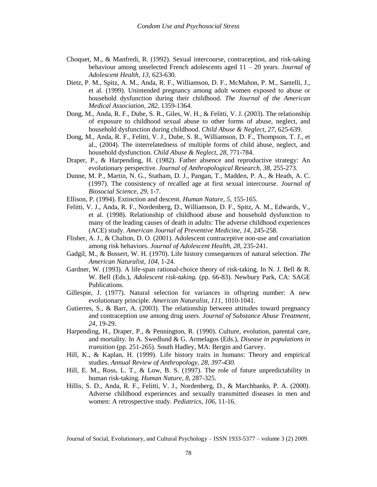- Choquet, M., & Manfredi, R. (1992). Sexual intercourse, contraception, and risk-taking behaviour among unselected French adolescents aged  $11 - 20$  years. *Journal of* Adolescent Health, 13, 623-630.
- Dietz, P. M., Spitz, A. M., Anda, R. F., Williamson, D. F., McMahon, P. M., Santelli, J., et al. (1999). Unintended pregnancy among adult women exposed to abuse or household dysfunction during their childhood. The Journal of the American Medical Association, 282, 1359-1364.
- Dong, M., Anda, R. F., Dube, S. R., Giles, W. H., & Felitti, V. J. (2003). The relationship of exposure to childhood sexual abuse to other forms of abuse, neglect, and household dysfunction during childhood. Child Abuse & Neglect, 27, 625-639.
- Dong, M., Anda, R. F., Felitti, V. J., Dube, S. R., Williamson, D. F., Thompson, T. J., et al., (2004). The interrelatedness of multiple forms of child abuse, neglect, and household dysfunction. Child Abuse & Neglect, 28, 771-784.
- Draper, P., & Harpending, H. (1982). Father absence and reproductive strategy: An evolutionary perspective. Journal of Anthropological Research, 38, 255-273.
- Dunne, M. P., Martin, N. G., Statham, D. J., Pangan, T., Madden, P. A., & Heath, A. C. (1997). The consistency of recalled age at first sexual intercourse. Journal of Biosocial Science, 29, 1-7.
- Ellison, P. (1994). Extinction and descent. Human Nature, 5, 155-165.
- Felitti, V. J., Anda, R. F., Nordenberg, D., Williamson, D. F., Spitz, A. M., Edwards, V., et al. (1998). Relationship of childhood abuse and household dysfunction to many of the leading causes of death in adults: The adverse childhood experiences (ACE) study. American Journal of Preventive Medicine, 14, 245-258.
- Flisher, A. J., & Chalton, D. O. (2001). Adolescent contraceptive non-use and covariation among risk behaviors. Journal of Adolescent Health, 28, 235-241.
- Gadgil, M., & Bossert, W. H. (1970). Life history consequences of natural selection. The American Naturalist, 104, 1-24.
- Gardner, W. (1993). A life-span rational-choice theory of risk-taking. In N. J. Bell & R. W. Bell (Eds.), Adolescent risk-taking. (pp. 66-83). Newbury Park, CA: SAGE Publications.
- Gillespie, J. (1977). Natural selection for variances in offspring number: A new evolutionary principle. American Naturalist, 111, 1010-1041.
- Gutierres, S., & Barr, A.  $(2003)$ . The relationship between attitudes toward pregnancy and contraception use among drug users. Journal of Substance Abuse Treatment, 24, 19-29.
- Harpending, H., Draper, P., & Pennington, R. (1990). Culture, evolution, parental care, and mortality. In A. Swedlund & G. Armelagos (Eds.), *Disease in populations in* transition (pp. 251-265). South Hadley, MA: Bergin and Garvey.
- Hill, K., & Kaplan, H. (1999). Life history traits in humans: Theory and empirical studies. Annual Review of Anthropology, 28, 397-430.
- Hill, E. M., Ross, L. T., & Low, B. S. (1997). The role of future unpredictability in human risk-taking. Human Nature, 8, 287-325.
- Hillis, S. D., Anda, R. F., Felitti, V. J., Nordenberg, D., & Marchbanks, P. A. (2000). Adverse childhood experiences and sexually transmitted diseases in men and women: A retrospective study. Pediatrics, 106, 11-16.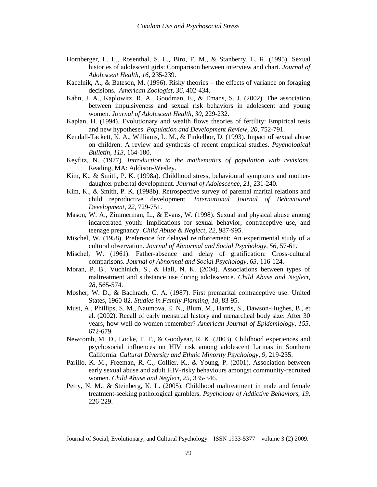- Hornberger, L. L., Rosenthal, S. L., Biro, F. M., & Stanberry, L. R. (1995). Sexual histories of adolescent girls: Comparison between interview and chart. Journal of Adolescent Health, 16, 235-239.
- Kacelnik, A., & Bateson, M. (1996). Risky theories the effects of variance on foraging decisions. American Zoologist, 36, 402-434.
- Kahn, J. A., Kaplowitz, R. A., Goodman, E., & Emans, S. J. (2002). The association between impulsiveness and sexual risk behaviors in adolescent and young women. Journal of Adolescent Health, 30, 229-232.
- Kaplan, H. (1994). Evolutionary and wealth flows theories of fertility: Empirical tests and new hypotheses. Population and Development Review, 20, 752-791.
- Kendall-Tackett, K. A., Williams, L. M., & Finkelhor, D. (1993). Impact of sexual abuse on children: A review and synthesis of recent empirical studies. *Psychological* Bulletin, 113, 164-180.
- Keyfitz, N. (1977). Introduction to the mathematics of population with revisions. Reading, MA: Addison-Wesley.
- Kim, K., & Smith, P. K. (1998a). Childhood stress, behavioural symptoms and motherdaughter pubertal development. Journal of Adolescence, 21, 231-240.
- Kim, K., & Smith, P. K. (1998b). Retrospective survey of parental marital relations and child reproductive development. International Journal of Behavioural Development, 22, 729-751.
- Mason, W. A., Zimmerman, L., & Evans, W. (1998). Sexual and physical abuse among incarcerated youth: Implications for sexual behavior, contraceptive use, and teenage pregnancy. Child Abuse & Neglect, 22, 987-995.
- Mischel, W. (1958). Preference for delayed reinforcement: An experimental study of a cultural observation. Journal of Abnormal and Social Psychology, 56, 57-61.
- Mischel, W. (1961). Father-absence and delay of gratification: Cross-cultural comparisons. Journal of Abnormal and Social Psychology, 63, 116-124.
- Moran, P. B., Vuchinich, S., & Hall, N. K. (2004). Associations between types of maltreatment and substance use during adolescence. Child Abuse and Neglect, 28, 565-574.
- Mosher, W. D., & Bachrach, C. A. (1987). First premarital contraceptive use: United States, 1960-82. Studies in Family Planning, 18, 83-95.
- Must, A., Phillips, S. M., Naumova, E. N., Blum, M., Harris, S., Dawson-Hughes, B., et al. (2002). Recall of early menstrual history and menarcheal body size: After 30 years, how well do women remember? American Journal of Epidemiology, 155, 672-679.
- Newcomb, M. D., Locke, T. F., & Goodyear, R. K. (2003). Childhood experiences and psychosocial influences on HIV risk among adolescent Latinas in Southern California. Cultural Diversity and Ethnic Minority Psychology, 9, 219-235.
- Parillo, K. M., Freeman, R. C., Collier, K., & Young, P. (2001). Association between early sexual abuse and adult HIV-risky behaviours amongst community-recruited women. Child Abuse and Neglect, 25, 335-346.
- Petry, N. M., & Steinberg, K. L. (2005). Childhood maltreatment in male and female treatment-seeking pathological gamblers. *Psychology of Addictive Behaviors*, 19, 226-229.